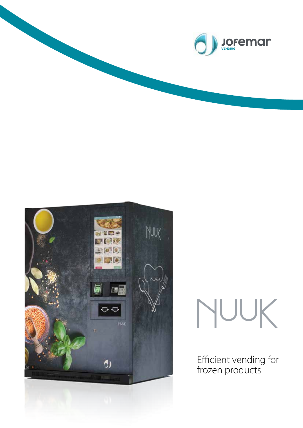



# NUUK

Efficient vending for frozen products